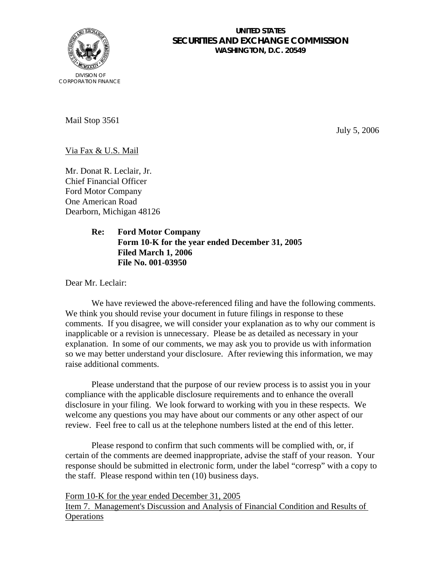

## **UNITED STATES SECURITIES AND EXCHANGE COMMISSION WASHINGTON, D.C. 20549**

Mail Stop 3561

July 5, 2006

Via Fax & U.S. Mail

Mr. Donat R. Leclair, Jr. Chief Financial Officer Ford Motor Company One American Road Dearborn, Michigan 48126

> **Re: Ford Motor Company Form 10-K for the year ended December 31, 2005 Filed March 1, 2006 File No. 001-03950**

Dear Mr. Leclair:

We have reviewed the above-referenced filing and have the following comments. We think you should revise your document in future filings in response to these comments. If you disagree, we will consider your explanation as to why our comment is inapplicable or a revision is unnecessary. Please be as detailed as necessary in your explanation. In some of our comments, we may ask you to provide us with information so we may better understand your disclosure. After reviewing this information, we may raise additional comments.

 Please understand that the purpose of our review process is to assist you in your compliance with the applicable disclosure requirements and to enhance the overall disclosure in your filing. We look forward to working with you in these respects. We welcome any questions you may have about our comments or any other aspect of our review. Feel free to call us at the telephone numbers listed at the end of this letter.

Please respond to confirm that such comments will be complied with, or, if certain of the comments are deemed inappropriate, advise the staff of your reason. Your response should be submitted in electronic form, under the label "corresp" with a copy to the staff. Please respond within ten (10) business days.

Form 10-K for the year ended December 31, 2005 Item 7. Management's Discussion and Analysis of Financial Condition and Results of **Operations**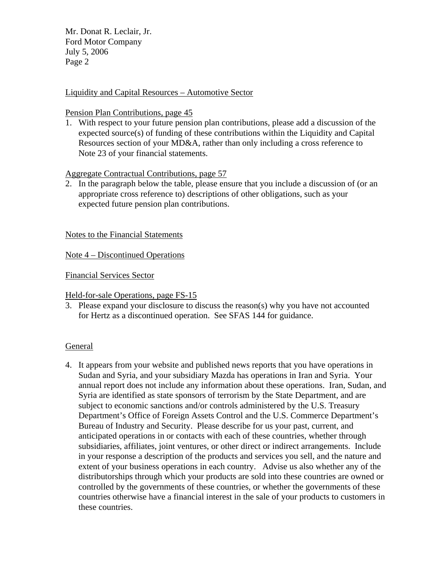Mr. Donat R. Leclair, Jr. Ford Motor Company July 5, 2006 Page 2

### Liquidity and Capital Resources – Automotive Sector

#### Pension Plan Contributions, page 45

1. With respect to your future pension plan contributions, please add a discussion of the expected source(s) of funding of these contributions within the Liquidity and Capital Resources section of your MD&A, rather than only including a cross reference to Note 23 of your financial statements.

# Aggregate Contractual Contributions, page 57

2. In the paragraph below the table, please ensure that you include a discussion of (or an appropriate cross reference to) descriptions of other obligations, such as your expected future pension plan contributions.

### Notes to the Financial Statements

Note 4 – Discontinued Operations

Financial Services Sector

Held-for-sale Operations, page FS-15

3. Please expand your disclosure to discuss the reason(s) why you have not accounted for Hertz as a discontinued operation. See SFAS 144 for guidance.

## General

4. It appears from your website and published news reports that you have operations in Sudan and Syria, and your subsidiary Mazda has operations in Iran and Syria. Your annual report does not include any information about these operations. Iran, Sudan, and Syria are identified as state sponsors of terrorism by the State Department, and are subject to economic sanctions and/or controls administered by the U.S. Treasury Department's Office of Foreign Assets Control and the U.S. Commerce Department's Bureau of Industry and Security. Please describe for us your past, current, and anticipated operations in or contacts with each of these countries, whether through subsidiaries, affiliates, joint ventures, or other direct or indirect arrangements. Include in your response a description of the products and services you sell, and the nature and extent of your business operations in each country. Advise us also whether any of the distributorships through which your products are sold into these countries are owned or controlled by the governments of these countries, or whether the governments of these countries otherwise have a financial interest in the sale of your products to customers in these countries.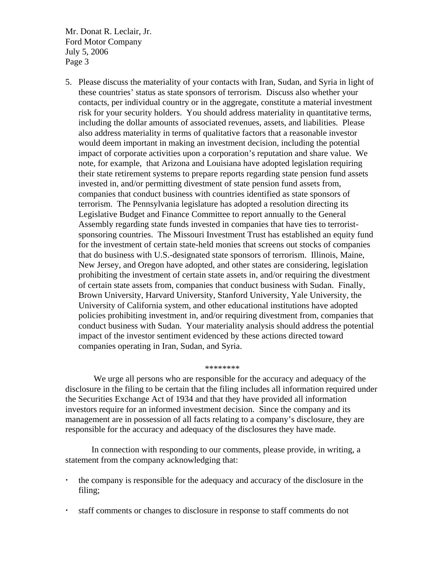Mr. Donat R. Leclair, Jr. Ford Motor Company July 5, 2006 Page 3

5. Please discuss the materiality of your contacts with Iran, Sudan, and Syria in light of these countries' status as state sponsors of terrorism. Discuss also whether your contacts, per individual country or in the aggregate, constitute a material investment risk for your security holders. You should address materiality in quantitative terms, including the dollar amounts of associated revenues, assets, and liabilities. Please also address materiality in terms of qualitative factors that a reasonable investor would deem important in making an investment decision, including the potential impact of corporate activities upon a corporation's reputation and share value. We note, for example, that Arizona and Louisiana have adopted legislation requiring their state retirement systems to prepare reports regarding state pension fund assets invested in, and/or permitting divestment of state pension fund assets from, companies that conduct business with countries identified as state sponsors of terrorism. The Pennsylvania legislature has adopted a resolution directing its Legislative Budget and Finance Committee to report annually to the General Assembly regarding state funds invested in companies that have ties to terroristsponsoring countries. The Missouri Investment Trust has established an equity fund for the investment of certain state-held monies that screens out stocks of companies that do business with U.S.-designated state sponsors of terrorism. Illinois, Maine, New Jersey, and Oregon have adopted, and other states are considering, legislation prohibiting the investment of certain state assets in, and/or requiring the divestment of certain state assets from, companies that conduct business with Sudan. Finally, Brown University, Harvard University, Stanford University, Yale University, the University of California system, and other educational institutions have adopted policies prohibiting investment in, and/or requiring divestment from, companies that conduct business with Sudan. Your materiality analysis should address the potential impact of the investor sentiment evidenced by these actions directed toward companies operating in Iran, Sudan, and Syria.

 We urge all persons who are responsible for the accuracy and adequacy of the disclosure in the filing to be certain that the filing includes all information required under the Securities Exchange Act of 1934 and that they have provided all information investors require for an informed investment decision. Since the company and its management are in possession of all facts relating to a company's disclosure, they are responsible for the accuracy and adequacy of the disclosures they have made.

\*\*\*\*\*\*\*\*

 In connection with responding to our comments, please provide, in writing, a statement from the company acknowledging that:

- the company is responsible for the adequacy and accuracy of the disclosure in the filing;
- staff comments or changes to disclosure in response to staff comments do not